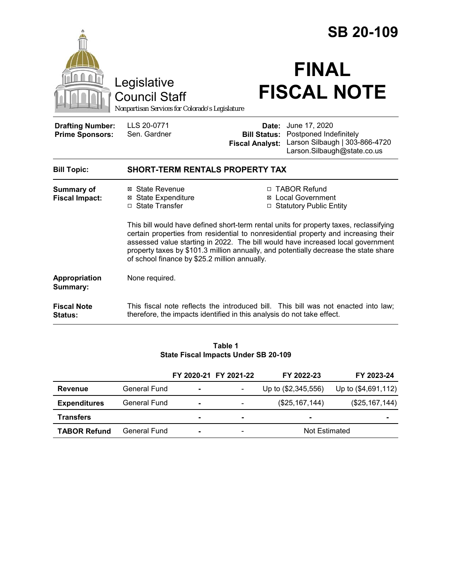|                                                   |                                                                                                                                                                                                                                                                                                                                                                                                                                                                                                                                                     |                        | <b>SB 20-109</b>                                                                                                                          |  |  |
|---------------------------------------------------|-----------------------------------------------------------------------------------------------------------------------------------------------------------------------------------------------------------------------------------------------------------------------------------------------------------------------------------------------------------------------------------------------------------------------------------------------------------------------------------------------------------------------------------------------------|------------------------|-------------------------------------------------------------------------------------------------------------------------------------------|--|--|
|                                                   | Legislative<br><b>Council Staff</b><br>Nonpartisan Services for Colorado's Legislature                                                                                                                                                                                                                                                                                                                                                                                                                                                              |                        | <b>FINAL</b><br><b>FISCAL NOTE</b>                                                                                                        |  |  |
| <b>Drafting Number:</b><br><b>Prime Sponsors:</b> | LLS 20-0771<br>Sen. Gardner                                                                                                                                                                                                                                                                                                                                                                                                                                                                                                                         | <b>Fiscal Analyst:</b> | <b>Date:</b> June 17, 2020<br><b>Bill Status:</b> Postponed Indefinitely<br>Larson Silbaugh   303-866-4720<br>Larson.Silbaugh@state.co.us |  |  |
| <b>Bill Topic:</b>                                | <b>SHORT-TERM RENTALS PROPERTY TAX</b>                                                                                                                                                                                                                                                                                                                                                                                                                                                                                                              |                        |                                                                                                                                           |  |  |
| <b>Summary of</b><br><b>Fiscal Impact:</b>        | ⊠ State Revenue<br>□ TABOR Refund<br><b>⊠</b> State Expenditure<br>⊠ Local Government<br>□ State Transfer<br>□ Statutory Public Entity<br>This bill would have defined short-term rental units for property taxes, reclassifying<br>certain properties from residential to nonresidential property and increasing their<br>assessed value starting in 2022. The bill would have increased local government<br>property taxes by \$101.3 million annually, and potentially decrease the state share<br>of school finance by \$25.2 million annually. |                        |                                                                                                                                           |  |  |
| Appropriation<br>Summary:                         | None required.                                                                                                                                                                                                                                                                                                                                                                                                                                                                                                                                      |                        |                                                                                                                                           |  |  |
| <b>Fiscal Note</b><br><b>Status:</b>              | therefore, the impacts identified in this analysis do not take effect.                                                                                                                                                                                                                                                                                                                                                                                                                                                                              |                        | This fiscal note reflects the introduced bill. This bill was not enacted into law;                                                        |  |  |
|                                                   |                                                                                                                                                                                                                                                                                                                                                                                                                                                                                                                                                     |                        |                                                                                                                                           |  |  |

#### **Table 1 State Fiscal Impacts Under SB 20-109**

|                     |              |                | FY 2020-21 FY 2021-22        | FY 2022-23          | FY 2023-24          |
|---------------------|--------------|----------------|------------------------------|---------------------|---------------------|
| Revenue             | General Fund | $\blacksquare$ |                              | Up to (\$2,345,556) | Up to (\$4,691,112) |
| <b>Expenditures</b> | General Fund | $\blacksquare$ |                              | (\$25,167,144)      | (\$25,167,144)      |
| <b>Transfers</b>    |              | $\blacksquare$ | $\blacksquare$               | $\sim$              | $\blacksquare$      |
| <b>TABOR Refund</b> | General Fund | $\blacksquare$ | $\qquad \qquad \blacksquare$ | Not Estimated       |                     |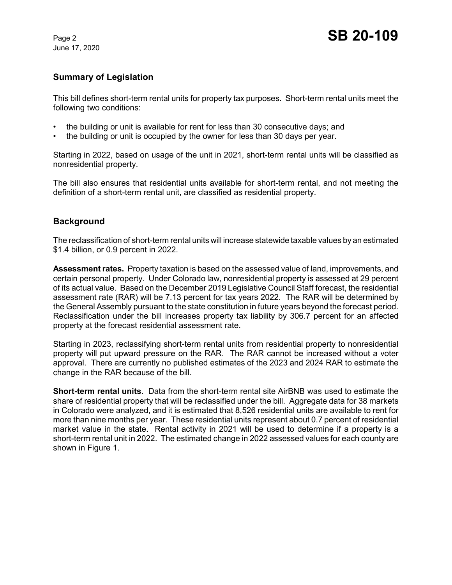June 17, 2020

## **Summary of Legislation**

This bill defines short-term rental units for property tax purposes. Short-term rental units meet the following two conditions:

- the building or unit is available for rent for less than 30 consecutive days; and
- the building or unit is occupied by the owner for less than 30 days per year.

Starting in 2022, based on usage of the unit in 2021, short-term rental units will be classified as nonresidential property.

The bill also ensures that residential units available for short-term rental, and not meeting the definition of a short-term rental unit, are classified as residential property.

## **Background**

The reclassification of short-term rental units will increase statewide taxable values by an estimated \$1.4 billion, or 0.9 percent in 2022.

**Assessment rates.** Property taxation is based on the assessed value of land, improvements, and certain personal property. Under Colorado law, nonresidential property is assessed at 29 percent of its actual value. Based on the December 2019 Legislative Council Staff forecast, the residential assessment rate (RAR) will be 7.13 percent for tax years 2022. The RAR will be determined by the General Assembly pursuant to the state constitution in future years beyond the forecast period. Reclassification under the bill increases property tax liability by 306.7 percent for an affected property at the forecast residential assessment rate.

Starting in 2023, reclassifying short-term rental units from residential property to nonresidential property will put upward pressure on the RAR. The RAR cannot be increased without a voter approval. There are currently no published estimates of the 2023 and 2024 RAR to estimate the change in the RAR because of the bill.

**Short-term rental units.** Data from the short-term rental site AirBNB was used to estimate the share of residential property that will be reclassified under the bill. Aggregate data for 38 markets in Colorado were analyzed, and it is estimated that 8,526 residential units are available to rent for more than nine months per year. These residential units represent about 0.7 percent of residential market value in the state. Rental activity in 2021 will be used to determine if a property is a short-term rental unit in 2022. The estimated change in 2022 assessed values for each county are shown in Figure 1.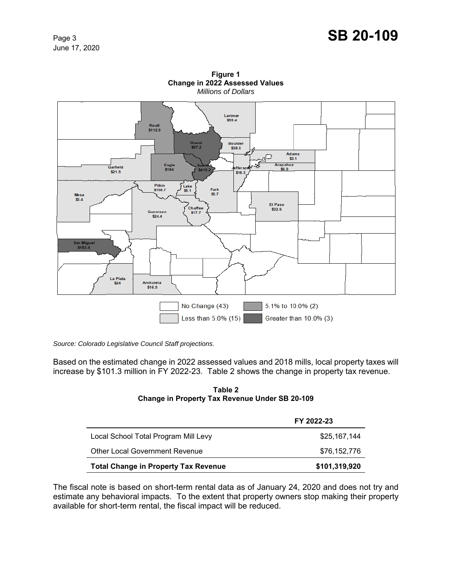# Page 3 **SB 20-109**

June 17, 2020



**Figure 1 Change in 2022 Assessed Values** *Millions of Dollars*

*Source: Colorado Legislative Council Staff projections.*

Based on the estimated change in 2022 assessed values and 2018 mills, local property taxes will increase by \$101.3 million in FY 2022-23. Table 2 shows the change in property tax revenue.

#### **Table 2 Change in Property Tax Revenue Under SB 20-109**

|                                             | FY 2022-23    |
|---------------------------------------------|---------------|
| Local School Total Program Mill Levy        | \$25,167,144  |
| <b>Other Local Government Revenue</b>       | \$76,152,776  |
| <b>Total Change in Property Tax Revenue</b> | \$101,319,920 |

The fiscal note is based on short-term rental data as of January 24, 2020 and does not try and estimate any behavioral impacts. To the extent that property owners stop making their property available for short-term rental, the fiscal impact will be reduced.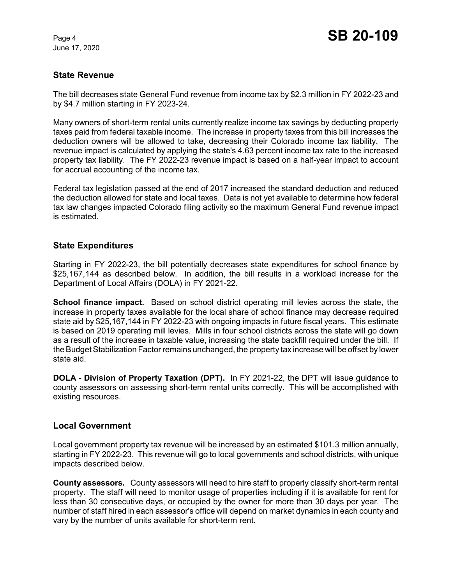June 17, 2020

# **State Revenue**

The bill decreases state General Fund revenue from income tax by \$2.3 million in FY 2022-23 and by \$4.7 million starting in FY 2023-24.

Many owners of short-term rental units currently realize income tax savings by deducting property taxes paid from federal taxable income. The increase in property taxes from this bill increases the deduction owners will be allowed to take, decreasing their Colorado income tax liability. The revenue impact is calculated by applying the state's 4.63 percent income tax rate to the increased property tax liability. The FY 2022-23 revenue impact is based on a half-year impact to account for accrual accounting of the income tax.

Federal tax legislation passed at the end of 2017 increased the standard deduction and reduced the deduction allowed for state and local taxes. Data is not yet available to determine how federal tax law changes impacted Colorado filing activity so the maximum General Fund revenue impact is estimated.

# **State Expenditures**

Starting in FY 2022-23, the bill potentially decreases state expenditures for school finance by \$25,167,144 as described below. In addition, the bill results in a workload increase for the Department of Local Affairs (DOLA) in FY 2021-22.

**School finance impact.** Based on school district operating mill levies across the state, the increase in property taxes available for the local share of school finance may decrease required state aid by \$25,167,144 in FY 2022-23 with ongoing impacts in future fiscal years. This estimate is based on 2019 operating mill levies. Mills in four school districts across the state will go down as a result of the increase in taxable value, increasing the state backfill required under the bill. If the Budget Stabilization Factor remains unchanged, the property tax increase will be offset by lower state aid.

**DOLA - Division of Property Taxation (DPT).** In FY 2021-22, the DPT will issue guidance to county assessors on assessing short-term rental units correctly. This will be accomplished with existing resources.

# **Local Government**

Local government property tax revenue will be increased by an estimated \$101.3 million annually, starting in FY 2022-23. This revenue will go to local governments and school districts, with unique impacts described below.

**County assessors.** County assessors will need to hire staff to properly classify short-term rental property. The staff will need to monitor usage of properties including if it is available for rent for less than 30 consecutive days, or occupied by the owner for more than 30 days per year. The number of staff hired in each assessor's office will depend on market dynamics in each county and vary by the number of units available for short-term rent.